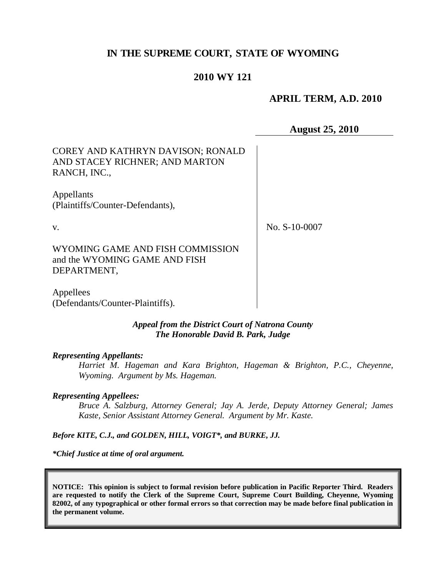# **IN THE SUPREME COURT, STATE OF WYOMING**

## **2010 WY 121**

## **APRIL TERM, A.D. 2010**

**August 25, 2010**

| COREY AND KATHRYN DAVISON; RONALD<br>AND STACEY RICHNER; AND MARTON<br>RANCH, INC., |               |  |
|-------------------------------------------------------------------------------------|---------------|--|
| Appellants<br>(Plaintiffs/Counter-Defendants),                                      |               |  |
| v.                                                                                  | No. S-10-0007 |  |
| WYOMING GAME AND FISH COMMISSION<br>and the WYOMING GAME AND FISH<br>DEPARTMENT,    |               |  |
| Appellees<br>(Defendants/Counter-Plaintiffs).                                       |               |  |

#### *Appeal from the District Court of Natrona County The Honorable David B. Park, Judge*

#### *Representing Appellants:*

*Harriet M. Hageman and Kara Brighton, Hageman & Brighton, P.C., Cheyenne, Wyoming. Argument by Ms. Hageman.*

#### *Representing Appellees:*

*Bruce A. Salzburg, Attorney General; Jay A. Jerde, Deputy Attorney General; James Kaste, Senior Assistant Attorney General. Argument by Mr. Kaste.*

*Before KITE, C.J., and GOLDEN, HILL, VOIGT\*, and BURKE, JJ.*

*\*Chief Justice at time of oral argument.*

**NOTICE: This opinion is subject to formal revision before publication in Pacific Reporter Third. Readers are requested to notify the Clerk of the Supreme Court, Supreme Court Building, Cheyenne, Wyoming 82002, of any typographical or other formal errors so that correction may be made before final publication in the permanent volume.**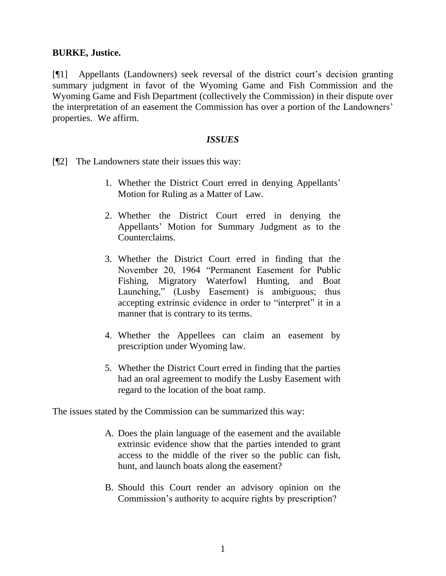### **BURKE, Justice.**

[¶1] Appellants (Landowners) seek reversal of the district court's decision granting summary judgment in favor of the Wyoming Game and Fish Commission and the Wyoming Game and Fish Department (collectively the Commission) in their dispute over the interpretation of an easement the Commission has over a portion of the Landowners" properties. We affirm.

### *ISSUES*

[¶2] The Landowners state their issues this way:

- 1. Whether the District Court erred in denying Appellants" Motion for Ruling as a Matter of Law.
- 2. Whether the District Court erred in denying the Appellants" Motion for Summary Judgment as to the Counterclaims.
- 3. Whether the District Court erred in finding that the November 20, 1964 "Permanent Easement for Public Fishing, Migratory Waterfowl Hunting, and Boat Launching," (Lusby Easement) is ambiguous; thus accepting extrinsic evidence in order to "interpret" it in a manner that is contrary to its terms.
- 4. Whether the Appellees can claim an easement by prescription under Wyoming law.
- 5. Whether the District Court erred in finding that the parties had an oral agreement to modify the Lusby Easement with regard to the location of the boat ramp.

The issues stated by the Commission can be summarized this way:

- A. Does the plain language of the easement and the available extrinsic evidence show that the parties intended to grant access to the middle of the river so the public can fish, hunt, and launch boats along the easement?
- B. Should this Court render an advisory opinion on the Commission"s authority to acquire rights by prescription?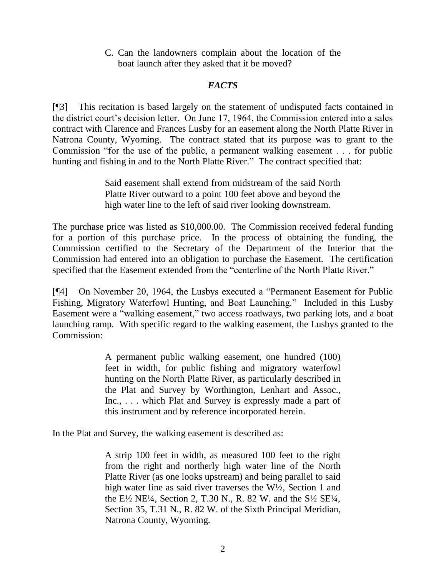C. Can the landowners complain about the location of the boat launch after they asked that it be moved?

# *FACTS*

[¶3] This recitation is based largely on the statement of undisputed facts contained in the district court's decision letter. On June 17, 1964, the Commission entered into a sales contract with Clarence and Frances Lusby for an easement along the North Platte River in Natrona County, Wyoming. The contract stated that its purpose was to grant to the Commission "for the use of the public, a permanent walking easement . . . for public hunting and fishing in and to the North Platte River." The contract specified that:

> Said easement shall extend from midstream of the said North Platte River outward to a point 100 feet above and beyond the high water line to the left of said river looking downstream.

The purchase price was listed as \$10,000.00. The Commission received federal funding for a portion of this purchase price. In the process of obtaining the funding, the Commission certified to the Secretary of the Department of the Interior that the Commission had entered into an obligation to purchase the Easement. The certification specified that the Easement extended from the "centerline of the North Platte River."

[¶4] On November 20, 1964, the Lusbys executed a "Permanent Easement for Public Fishing, Migratory Waterfowl Hunting, and Boat Launching." Included in this Lusby Easement were a "walking easement," two access roadways, two parking lots, and a boat launching ramp. With specific regard to the walking easement, the Lusbys granted to the Commission:

> A permanent public walking easement, one hundred (100) feet in width, for public fishing and migratory waterfowl hunting on the North Platte River, as particularly described in the Plat and Survey by Worthington, Lenhart and Assoc., Inc., . . . which Plat and Survey is expressly made a part of this instrument and by reference incorporated herein.

In the Plat and Survey, the walking easement is described as:

A strip 100 feet in width, as measured 100 feet to the right from the right and northerly high water line of the North Platte River (as one looks upstream) and being parallel to said high water line as said river traverses the W<sup>1</sup>/2, Section 1 and the E½ NE¼, Section 2, T.30 N., R. 82 W. and the S½ SE¼, Section 35, T.31 N., R. 82 W. of the Sixth Principal Meridian, Natrona County, Wyoming.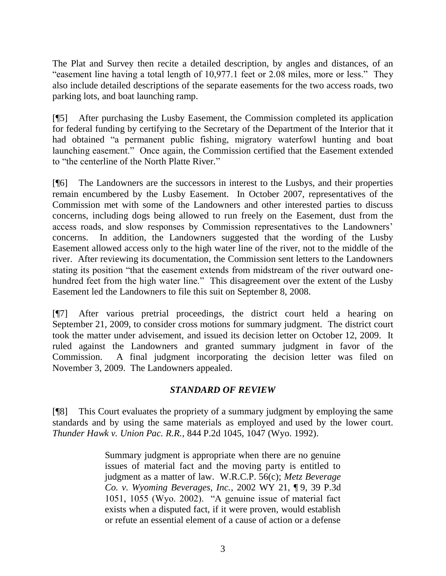The Plat and Survey then recite a detailed description, by angles and distances, of an "easement line having a total length of 10,977.1 feet or 2.08 miles, more or less." They also include detailed descriptions of the separate easements for the two access roads, two parking lots, and boat launching ramp.

[¶5] After purchasing the Lusby Easement, the Commission completed its application for federal funding by certifying to the Secretary of the Department of the Interior that it had obtained "a permanent public fishing, migratory waterfowl hunting and boat launching easement." Once again, the Commission certified that the Easement extended to "the centerline of the North Platte River."

[¶6] The Landowners are the successors in interest to the Lusbys, and their properties remain encumbered by the Lusby Easement. In October 2007, representatives of the Commission met with some of the Landowners and other interested parties to discuss concerns, including dogs being allowed to run freely on the Easement, dust from the access roads, and slow responses by Commission representatives to the Landowners" concerns. In addition, the Landowners suggested that the wording of the Lusby Easement allowed access only to the high water line of the river, not to the middle of the river. After reviewing its documentation, the Commission sent letters to the Landowners stating its position "that the easement extends from midstream of the river outward onehundred feet from the high water line." This disagreement over the extent of the Lusby Easement led the Landowners to file this suit on September 8, 2008.

[¶7] After various pretrial proceedings, the district court held a hearing on September 21, 2009, to consider cross motions for summary judgment. The district court took the matter under advisement, and issued its decision letter on October 12, 2009. It ruled against the Landowners and granted summary judgment in favor of the Commission. A final judgment incorporating the decision letter was filed on November 3, 2009. The Landowners appealed.

# *STANDARD OF REVIEW*

[¶8] This Court evaluates the propriety of a summary judgment by employing the same standards and by using the same materials as employed and used by the lower court. *Thunder Hawk v. Union Pac. R.R.*, 844 P.2d 1045, 1047 (Wyo. 1992).

> Summary judgment is appropriate when there are no genuine issues of material fact and the moving party is entitled to judgment as a matter of law. W.R.C.P. 56(c); *Metz Beverage Co. v. Wyoming Beverages, Inc.*, 2002 WY 21, ¶ 9, 39 P.3d 1051, 1055 (Wyo. 2002). "A genuine issue of material fact exists when a disputed fact, if it were proven, would establish or refute an essential element of a cause of action or a defense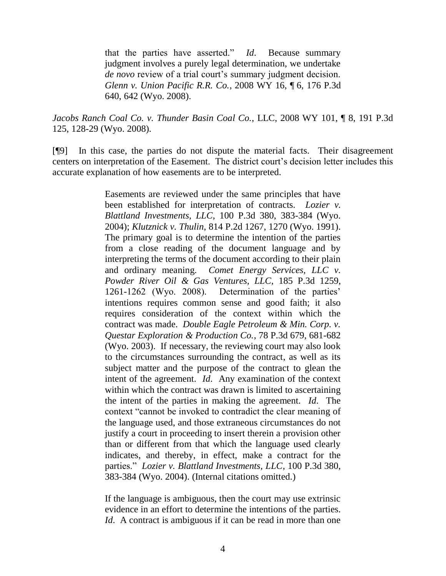that the parties have asserted." *Id*. Because summary judgment involves a purely legal determination, we undertake *de novo* review of a trial court's summary judgment decision. *Glenn v. Union Pacific R.R. Co.*, 2008 WY 16, ¶ 6, 176 P.3d 640, 642 (Wyo. 2008).

*Jacobs Ranch Coal Co. v. Thunder Basin Coal Co.*, LLC, 2008 WY 101, ¶ 8, 191 P.3d 125, 128-29 (Wyo. 2008).

[¶9] In this case, the parties do not dispute the material facts. Their disagreement centers on interpretation of the Easement. The district court's decision letter includes this accurate explanation of how easements are to be interpreted.

> Easements are reviewed under the same principles that have been established for interpretation of contracts. *Lozier v. Blattland Investments, LLC*, 100 P.3d 380, 383-384 (Wyo. 2004); *Klutznick v. Thulin*, 814 P.2d 1267, 1270 (Wyo. 1991). The primary goal is to determine the intention of the parties from a close reading of the document language and by interpreting the terms of the document according to their plain and ordinary meaning. *Comet Energy Services, LLC v. Powder River Oil & Gas Ventures, LLC*, 185 P.3d 1259, 1261-1262 (Wyo. 2008). Determination of the parties" intentions requires common sense and good faith; it also requires consideration of the context within which the contract was made. *Double Eagle Petroleum & Min. Corp. v. Questar Exploration & Production Co.*, 78 P.3d 679, 681-682 (Wyo. 2003). If necessary, the reviewing court may also look to the circumstances surrounding the contract, as well as its subject matter and the purpose of the contract to glean the intent of the agreement. *Id*. Any examination of the context within which the contract was drawn is limited to ascertaining the intent of the parties in making the agreement. *Id*. The context "cannot be invoked to contradict the clear meaning of the language used, and those extraneous circumstances do not justify a court in proceeding to insert therein a provision other than or different from that which the language used clearly indicates, and thereby, in effect, make a contract for the parties." *Lozier v. Blattland Investments, LLC*, 100 P.3d 380, 383-384 (Wyo. 2004). (Internal citations omitted.)

> If the language is ambiguous, then the court may use extrinsic evidence in an effort to determine the intentions of the parties. *Id.* A contract is ambiguous if it can be read in more than one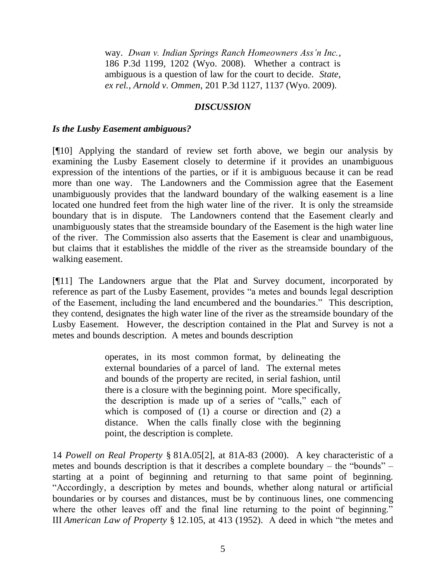way. *Dwan v. Indian Springs Ranch Homeowners Ass'n Inc.*, 186 P.3d 1199, 1202 (Wyo. 2008). Whether a contract is ambiguous is a question of law for the court to decide. *State, ex rel., Arnold v. Ommen*, 201 P.3d 1127, 1137 (Wyo. 2009).

## *DISCUSSION*

### *Is the Lusby Easement ambiguous?*

[¶10] Applying the standard of review set forth above, we begin our analysis by examining the Lusby Easement closely to determine if it provides an unambiguous expression of the intentions of the parties, or if it is ambiguous because it can be read more than one way. The Landowners and the Commission agree that the Easement unambiguously provides that the landward boundary of the walking easement is a line located one hundred feet from the high water line of the river. It is only the streamside boundary that is in dispute. The Landowners contend that the Easement clearly and unambiguously states that the streamside boundary of the Easement is the high water line of the river. The Commission also asserts that the Easement is clear and unambiguous, but claims that it establishes the middle of the river as the streamside boundary of the walking easement.

[¶11] The Landowners argue that the Plat and Survey document, incorporated by reference as part of the Lusby Easement, provides "a metes and bounds legal description of the Easement, including the land encumbered and the boundaries." This description, they contend, designates the high water line of the river as the streamside boundary of the Lusby Easement. However, the description contained in the Plat and Survey is not a metes and bounds description. A metes and bounds description

> operates, in its most common format, by delineating the external boundaries of a parcel of land. The external metes and bounds of the property are recited, in serial fashion, until there is a closure with the beginning point. More specifically, the description is made up of a series of "calls," each of which is composed of (1) a course or direction and (2) a distance. When the calls finally close with the beginning point, the description is complete.

14 *Powell on Real Property* § 81A.05[2], at 81A-83 (2000). A key characteristic of a metes and bounds description is that it describes a complete boundary – the "bounds" – starting at a point of beginning and returning to that same point of beginning. "Accordingly, a description by metes and bounds, whether along natural or artificial boundaries or by courses and distances, must be by continuous lines, one commencing where the other leaves off and the final line returning to the point of beginning." III *American Law of Property* § 12.105, at 413 (1952). A deed in which "the metes and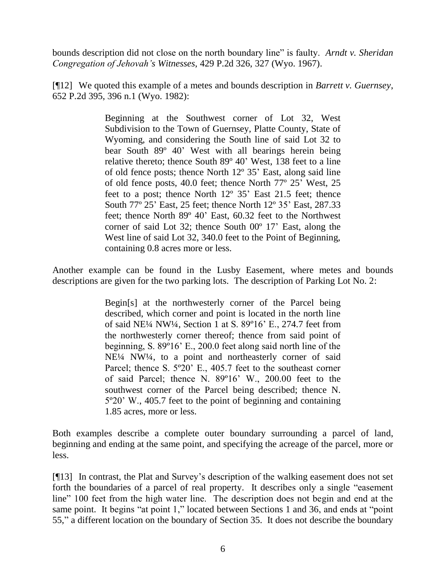bounds description did not close on the north boundary line" is faulty. *Arndt v. Sheridan Congregation of Jehovah's Witnesses*, 429 P.2d 326, 327 (Wyo. 1967).

[¶12] We quoted this example of a metes and bounds description in *Barrett v. Guernsey*, 652 P.2d 395, 396 n.1 (Wyo. 1982):

> Beginning at the Southwest corner of Lot 32, West Subdivision to the Town of Guernsey, Platte County, State of Wyoming, and considering the South line of said Lot 32 to bear South 89º 40" West with all bearings herein being relative thereto; thence South 89º 40" West, 138 feet to a line of old fence posts; thence North 12º 35" East, along said line of old fence posts, 40.0 feet; thence North 77º 25" West, 25 feet to a post; thence North 12° 35' East 21.5 feet; thence South 77° 25' East, 25 feet; thence North 12° 35' East, 287.33 feet; thence North 89º 40" East, 60.32 feet to the Northwest corner of said Lot 32; thence South  $00^{\circ}$  17' East, along the West line of said Lot 32, 340.0 feet to the Point of Beginning, containing 0.8 acres more or less.

Another example can be found in the Lusby Easement, where metes and bounds descriptions are given for the two parking lots. The description of Parking Lot No. 2:

> Begin[s] at the northwesterly corner of the Parcel being described, which corner and point is located in the north line of said NE¼ NW¼, Section 1 at S. 89º16" E., 274.7 feet from the northwesterly corner thereof; thence from said point of beginning, S. 89º16" E., 200.0 feet along said north line of the NE¼ NW¼, to a point and northeasterly corner of said Parcel; thence S. 5°20' E., 405.7 feet to the southeast corner of said Parcel; thence N. 89º16" W., 200.00 feet to the southwest corner of the Parcel being described; thence N. 5º20" W., 405.7 feet to the point of beginning and containing 1.85 acres, more or less.

Both examples describe a complete outer boundary surrounding a parcel of land, beginning and ending at the same point, and specifying the acreage of the parcel, more or less.

[¶13] In contrast, the Plat and Survey"s description of the walking easement does not set forth the boundaries of a parcel of real property. It describes only a single "easement line" 100 feet from the high water line. The description does not begin and end at the same point. It begins "at point 1," located between Sections 1 and 36, and ends at "point" 55," a different location on the boundary of Section 35. It does not describe the boundary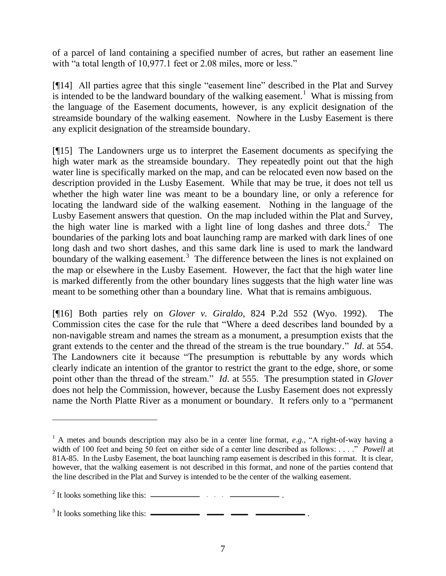of a parcel of land containing a specified number of acres, but rather an easement line with "a total length of 10,977.1 feet or 2.08 miles, more or less."

[¶14] All parties agree that this single "easement line" described in the Plat and Survey is intended to be the landward boundary of the walking easement.<sup>1</sup> What is missing from the language of the Easement documents, however, is any explicit designation of the streamside boundary of the walking easement. Nowhere in the Lusby Easement is there any explicit designation of the streamside boundary.

[¶15] The Landowners urge us to interpret the Easement documents as specifying the high water mark as the streamside boundary. They repeatedly point out that the high water line is specifically marked on the map, and can be relocated even now based on the description provided in the Lusby Easement. While that may be true, it does not tell us whether the high water line was meant to be a boundary line, or only a reference for locating the landward side of the walking easement. Nothing in the language of the Lusby Easement answers that question. On the map included within the Plat and Survey, the high water line is marked with a light line of long dashes and three dots.<sup>2</sup> The boundaries of the parking lots and boat launching ramp are marked with dark lines of one long dash and two short dashes, and this same dark line is used to mark the landward boundary of the walking easement.<sup>3</sup> The difference between the lines is not explained on the map or elsewhere in the Lusby Easement. However, the fact that the high water line is marked differently from the other boundary lines suggests that the high water line was meant to be something other than a boundary line. What that is remains ambiguous.

[¶16] Both parties rely on *Glover v. Giraldo*, 824 P.2d 552 (Wyo. 1992). The Commission cites the case for the rule that "Where a deed describes land bounded by a non-navigable stream and names the stream as a monument, a presumption exists that the grant extends to the center and the thread of the stream is the true boundary." *Id*. at 554. The Landowners cite it because "The presumption is rebuttable by any words which clearly indicate an intention of the grantor to restrict the grant to the edge, shore, or some point other than the thread of the stream." *Id*. at 555. The presumption stated in *Glover* does not help the Commission, however, because the Lusby Easement does not expressly name the North Platte River as a monument or boundary. It refers only to a "permanent

 $\overline{a}$ 

<sup>1</sup> A metes and bounds description may also be in a center line format, *e*.*g*., "A right-of-way having a width of 100 feet and being 50 feet on either side of a center line described as follows: . . . ." *Powell* at 81A-85. In the Lusby Easement, the boat launching ramp easement is described in this format. It is clear, however, that the walking easement is not described in this format, and none of the parties contend that the line described in the Plat and Survey is intended to be the center of the walking easement.

 $2$  It looks something like this:  $\frac{2}{1}$  ...  $\frac{2}{1}$  ...

 $3$  It looks something like this:  $\frac{1}{2}$   $\frac{1}{2}$   $\frac{1}{2}$   $\frac{1}{2}$   $\frac{1}{2}$  .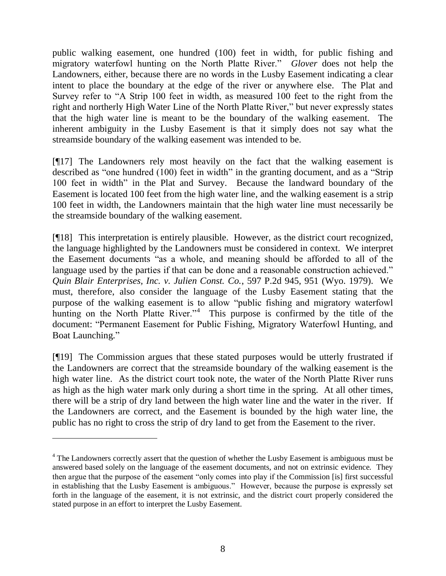public walking easement, one hundred (100) feet in width, for public fishing and migratory waterfowl hunting on the North Platte River." *Glover* does not help the Landowners, either, because there are no words in the Lusby Easement indicating a clear intent to place the boundary at the edge of the river or anywhere else. The Plat and Survey refer to "A Strip 100 feet in width, as measured 100 feet to the right from the right and northerly High Water Line of the North Platte River," but never expressly states that the high water line is meant to be the boundary of the walking easement. The inherent ambiguity in the Lusby Easement is that it simply does not say what the streamside boundary of the walking easement was intended to be.

[¶17] The Landowners rely most heavily on the fact that the walking easement is described as "one hundred (100) feet in width" in the granting document, and as a "Strip 100 feet in width" in the Plat and Survey. Because the landward boundary of the Easement is located 100 feet from the high water line, and the walking easement is a strip 100 feet in width, the Landowners maintain that the high water line must necessarily be the streamside boundary of the walking easement.

[¶18] This interpretation is entirely plausible. However, as the district court recognized, the language highlighted by the Landowners must be considered in context. We interpret the Easement documents "as a whole, and meaning should be afforded to all of the language used by the parties if that can be done and a reasonable construction achieved." *Quin Blair Enterprises, Inc. v. Julien Const. Co.*, 597 P.2d 945, 951 (Wyo. 1979). We must, therefore, also consider the language of the Lusby Easement stating that the purpose of the walking easement is to allow "public fishing and migratory waterfowl hunting on the North Platte River."<sup>4</sup> This purpose is confirmed by the title of the document: "Permanent Easement for Public Fishing, Migratory Waterfowl Hunting, and Boat Launching."

[¶19] The Commission argues that these stated purposes would be utterly frustrated if the Landowners are correct that the streamside boundary of the walking easement is the high water line. As the district court took note, the water of the North Platte River runs as high as the high water mark only during a short time in the spring. At all other times, there will be a strip of dry land between the high water line and the water in the river. If the Landowners are correct, and the Easement is bounded by the high water line, the public has no right to cross the strip of dry land to get from the Easement to the river.

 $\overline{a}$ 

<sup>4</sup> The Landowners correctly assert that the question of whether the Lusby Easement is ambiguous must be answered based solely on the language of the easement documents, and not on extrinsic evidence. They then argue that the purpose of the easement "only comes into play if the Commission [is] first successful in establishing that the Lusby Easement is ambiguous." However, because the purpose is expressly set forth in the language of the easement, it is not extrinsic, and the district court properly considered the stated purpose in an effort to interpret the Lusby Easement.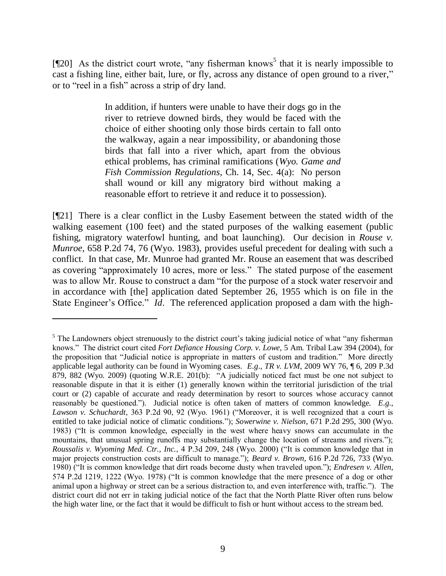[ $[20]$  As the district court wrote, "any fisherman knows<sup>5</sup> that it is nearly impossible to cast a fishing line, either bait, lure, or fly, across any distance of open ground to a river," or to "reel in a fish" across a strip of dry land.

> In addition, if hunters were unable to have their dogs go in the river to retrieve downed birds, they would be faced with the choice of either shooting only those birds certain to fall onto the walkway, again a near impossibility, or abandoning those birds that fall into a river which, apart from the obvious ethical problems, has criminal ramifications (*Wyo. Game and Fish Commission Regulations*, Ch. 14, Sec. 4(a): No person shall wound or kill any migratory bird without making a reasonable effort to retrieve it and reduce it to possession).

[¶21] There is a clear conflict in the Lusby Easement between the stated width of the walking easement (100 feet) and the stated purposes of the walking easement (public fishing, migratory waterfowl hunting, and boat launching). Our decision in *Rouse v. Munroe*, 658 P.2d 74, 76 (Wyo. 1983), provides useful precedent for dealing with such a conflict. In that case, Mr. Munroe had granted Mr. Rouse an easement that was described as covering "approximately 10 acres, more or less." The stated purpose of the easement was to allow Mr. Rouse to construct a dam "for the purpose of a stock water reservoir and in accordance with [the] application dated September 26, 1955 which is on file in the State Engineer's Office." *Id*. The referenced application proposed a dam with the high-

 $\overline{a}$ 

 $<sup>5</sup>$  The Landowners object strenuously to the district court's taking judicial notice of what "any fisherman"</sup> knows." The district court cited *Fort Defiance Housing Corp. v. Lowe*, 5 Am. Tribal Law 394 (2004), for the proposition that "Judicial notice is appropriate in matters of custom and tradition." More directly applicable legal authority can be found in Wyoming cases. *E*.*g*., *TR v. LVM*, 2009 WY 76, ¶ 6, 209 P.3d 879, 882 (Wyo. 2009) (quoting W.R.E. 201(b): "A judicially noticed fact must be one not subject to reasonable dispute in that it is either (1) generally known within the territorial jurisdiction of the trial court or (2) capable of accurate and ready determination by resort to sources whose accuracy cannot reasonably be questioned."). Judicial notice is often taken of matters of common knowledge. *E*.*g*., *Lawson v. Schuchardt*, 363 P.2d 90, 92 (Wyo. 1961) ("Moreover, it is well recognized that a court is entitled to take judicial notice of climatic conditions."); *Sowerwine v. Nielson*, 671 P.2d 295, 300 (Wyo. 1983) ("It is common knowledge, especially in the west where heavy snows can accumulate in the mountains, that unusual spring runoffs may substantially change the location of streams and rivers."); *Roussalis v. Wyoming Med. Ctr., Inc.*, 4 P.3d 209, 248 (Wyo. 2000) ("It is common knowledge that in major projects construction costs are difficult to manage."); *Beard v. Brown*, 616 P.2d 726, 733 (Wyo. 1980) ("It is common knowledge that dirt roads become dusty when traveled upon."); *Endresen v. Allen*, 574 P.2d 1219, 1222 (Wyo. 1978) ("It is common knowledge that the mere presence of a dog or other animal upon a highway or street can be a serious distraction to, and even interference with, traffic."). The district court did not err in taking judicial notice of the fact that the North Platte River often runs below the high water line, or the fact that it would be difficult to fish or hunt without access to the stream bed.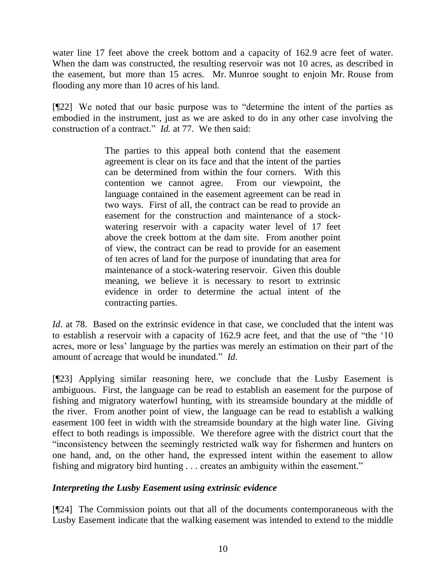water line 17 feet above the creek bottom and a capacity of 162.9 acre feet of water. When the dam was constructed, the resulting reservoir was not 10 acres, as described in the easement, but more than 15 acres. Mr. Munroe sought to enjoin Mr. Rouse from flooding any more than 10 acres of his land.

[¶22] We noted that our basic purpose was to "determine the intent of the parties as embodied in the instrument, just as we are asked to do in any other case involving the construction of a contract." *Id.* at 77. We then said:

> The parties to this appeal both contend that the easement agreement is clear on its face and that the intent of the parties can be determined from within the four corners. With this contention we cannot agree. From our viewpoint, the language contained in the easement agreement can be read in two ways. First of all, the contract can be read to provide an easement for the construction and maintenance of a stockwatering reservoir with a capacity water level of 17 feet above the creek bottom at the dam site. From another point of view, the contract can be read to provide for an easement of ten acres of land for the purpose of inundating that area for maintenance of a stock-watering reservoir. Given this double meaning, we believe it is necessary to resort to extrinsic evidence in order to determine the actual intent of the contracting parties.

*Id.* at 78. Based on the extrinsic evidence in that case, we concluded that the intent was to establish a reservoir with a capacity of 162.9 acre feet, and that the use of "the "10 acres, more or less" language by the parties was merely an estimation on their part of the amount of acreage that would be inundated." *Id*.

[¶23] Applying similar reasoning here, we conclude that the Lusby Easement is ambiguous. First, the language can be read to establish an easement for the purpose of fishing and migratory waterfowl hunting, with its streamside boundary at the middle of the river. From another point of view, the language can be read to establish a walking easement 100 feet in width with the streamside boundary at the high water line. Giving effect to both readings is impossible. We therefore agree with the district court that the "inconsistency between the seemingly restricted walk way for fishermen and hunters on one hand, and, on the other hand, the expressed intent within the easement to allow fishing and migratory bird hunting . . . creates an ambiguity within the easement."

# *Interpreting the Lusby Easement using extrinsic evidence*

[¶24] The Commission points out that all of the documents contemporaneous with the Lusby Easement indicate that the walking easement was intended to extend to the middle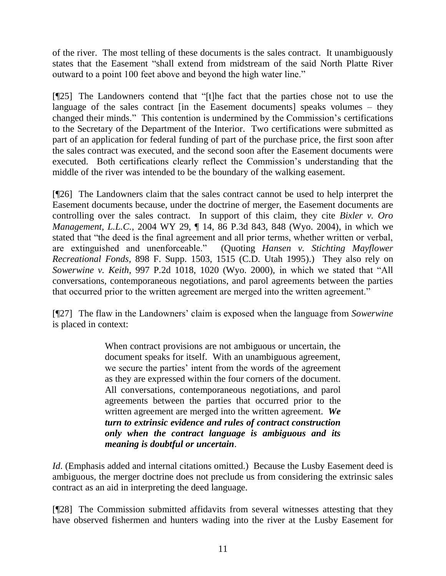of the river. The most telling of these documents is the sales contract. It unambiguously states that the Easement "shall extend from midstream of the said North Platte River outward to a point 100 feet above and beyond the high water line."

[¶25] The Landowners contend that "[t]he fact that the parties chose not to use the language of the sales contract [in the Easement documents] speaks volumes – they changed their minds." This contention is undermined by the Commission"s certifications to the Secretary of the Department of the Interior. Two certifications were submitted as part of an application for federal funding of part of the purchase price, the first soon after the sales contract was executed, and the second soon after the Easement documents were executed. Both certifications clearly reflect the Commission"s understanding that the middle of the river was intended to be the boundary of the walking easement.

[¶26] The Landowners claim that the sales contract cannot be used to help interpret the Easement documents because, under the doctrine of merger, the Easement documents are controlling over the sales contract. In support of this claim, they cite *Bixler v. Oro Management, L.L.C.*, 2004 WY 29, ¶ 14, 86 P.3d 843, 848 (Wyo. 2004), in which we stated that "the deed is the final agreement and all prior terms, whether written or verbal, are extinguished and unenforceable." (Quoting *Hansen v. Stichting Mayflower Recreational Fonds*, 898 F. Supp. 1503, 1515 (C.D. Utah 1995).) They also rely on *Sowerwine v. Keith*, 997 P.2d 1018, 1020 (Wyo. 2000), in which we stated that "All conversations, contemporaneous negotiations, and parol agreements between the parties that occurred prior to the written agreement are merged into the written agreement."

[¶27] The flaw in the Landowners" claim is exposed when the language from *Sowerwine* is placed in context:

> When contract provisions are not ambiguous or uncertain, the document speaks for itself. With an unambiguous agreement, we secure the parties' intent from the words of the agreement as they are expressed within the four corners of the document. All conversations, contemporaneous negotiations, and parol agreements between the parties that occurred prior to the written agreement are merged into the written agreement. *We turn to extrinsic evidence and rules of contract construction only when the contract language is ambiguous and its meaning is doubtful or uncertain*.

*Id*. (Emphasis added and internal citations omitted.) Because the Lusby Easement deed is ambiguous, the merger doctrine does not preclude us from considering the extrinsic sales contract as an aid in interpreting the deed language.

[¶28] The Commission submitted affidavits from several witnesses attesting that they have observed fishermen and hunters wading into the river at the Lusby Easement for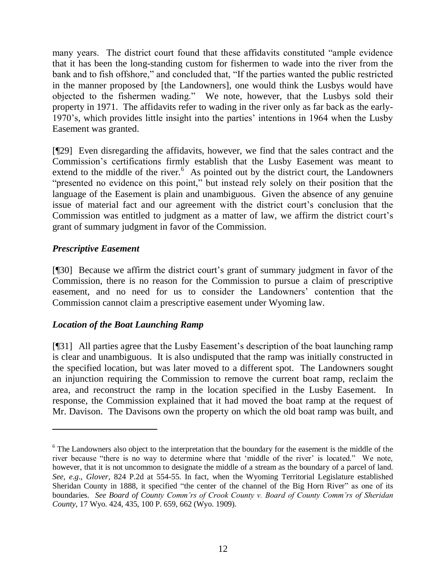many years. The district court found that these affidavits constituted "ample evidence that it has been the long-standing custom for fishermen to wade into the river from the bank and to fish offshore," and concluded that, "If the parties wanted the public restricted in the manner proposed by [the Landowners], one would think the Lusbys would have objected to the fishermen wading." We note, however, that the Lusbys sold their property in 1971. The affidavits refer to wading in the river only as far back as the early-1970"s, which provides little insight into the parties" intentions in 1964 when the Lusby Easement was granted.

[¶29] Even disregarding the affidavits, however, we find that the sales contract and the Commission"s certifications firmly establish that the Lusby Easement was meant to extend to the middle of the river.<sup>6</sup> As pointed out by the district court, the Landowners "presented no evidence on this point," but instead rely solely on their position that the language of the Easement is plain and unambiguous. Given the absence of any genuine issue of material fact and our agreement with the district court's conclusion that the Commission was entitled to judgment as a matter of law, we affirm the district court's grant of summary judgment in favor of the Commission.

# *Prescriptive Easement*

 $\overline{a}$ 

[¶30] Because we affirm the district court's grant of summary judgment in favor of the Commission, there is no reason for the Commission to pursue a claim of prescriptive easement, and no need for us to consider the Landowners' contention that the Commission cannot claim a prescriptive easement under Wyoming law.

# *Location of the Boat Launching Ramp*

[¶31] All parties agree that the Lusby Easement"s description of the boat launching ramp is clear and unambiguous. It is also undisputed that the ramp was initially constructed in the specified location, but was later moved to a different spot. The Landowners sought an injunction requiring the Commission to remove the current boat ramp, reclaim the area, and reconstruct the ramp in the location specified in the Lusby Easement. In response, the Commission explained that it had moved the boat ramp at the request of Mr. Davison. The Davisons own the property on which the old boat ramp was built, and

<sup>&</sup>lt;sup>6</sup> The Landowners also object to the interpretation that the boundary for the easement is the middle of the river because "there is no way to determine where that "middle of the river" is located." We note, however, that it is not uncommon to designate the middle of a stream as the boundary of a parcel of land. *See*, *e*.*g*., *Glover*, 824 P.2d at 554-55. In fact, when the Wyoming Territorial Legislature established Sheridan County in 1888, it specified "the center of the channel of the Big Horn River" as one of its boundaries. *See Board of County Comm'rs of Crook County v. Board of County Comm'rs of Sheridan County*, 17 Wyo. 424, 435, 100 P. 659, 662 (Wyo. 1909).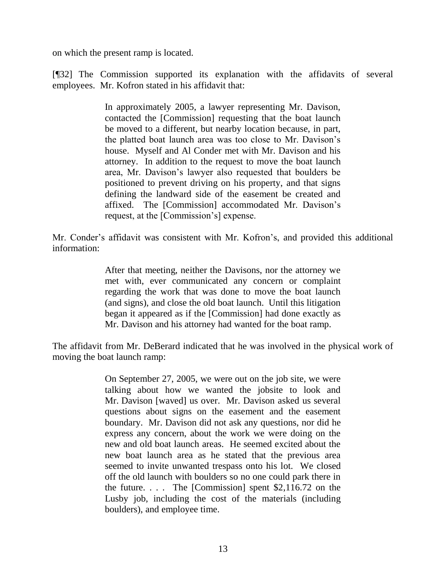on which the present ramp is located.

[¶32] The Commission supported its explanation with the affidavits of several employees. Mr. Kofron stated in his affidavit that:

> In approximately 2005, a lawyer representing Mr. Davison, contacted the [Commission] requesting that the boat launch be moved to a different, but nearby location because, in part, the platted boat launch area was too close to Mr. Davison"s house. Myself and Al Conder met with Mr. Davison and his attorney. In addition to the request to move the boat launch area, Mr. Davison"s lawyer also requested that boulders be positioned to prevent driving on his property, and that signs defining the landward side of the easement be created and affixed. The [Commission] accommodated Mr. Davison"s request, at the [Commission's] expense.

Mr. Conder"s affidavit was consistent with Mr. Kofron"s, and provided this additional information:

> After that meeting, neither the Davisons, nor the attorney we met with, ever communicated any concern or complaint regarding the work that was done to move the boat launch (and signs), and close the old boat launch. Until this litigation began it appeared as if the [Commission] had done exactly as Mr. Davison and his attorney had wanted for the boat ramp.

The affidavit from Mr. DeBerard indicated that he was involved in the physical work of moving the boat launch ramp:

> On September 27, 2005, we were out on the job site, we were talking about how we wanted the jobsite to look and Mr. Davison [waved] us over. Mr. Davison asked us several questions about signs on the easement and the easement boundary. Mr. Davison did not ask any questions, nor did he express any concern, about the work we were doing on the new and old boat launch areas. He seemed excited about the new boat launch area as he stated that the previous area seemed to invite unwanted trespass onto his lot. We closed off the old launch with boulders so no one could park there in the future.  $\ldots$  The [Commission] spent \$2,116.72 on the Lusby job, including the cost of the materials (including boulders), and employee time.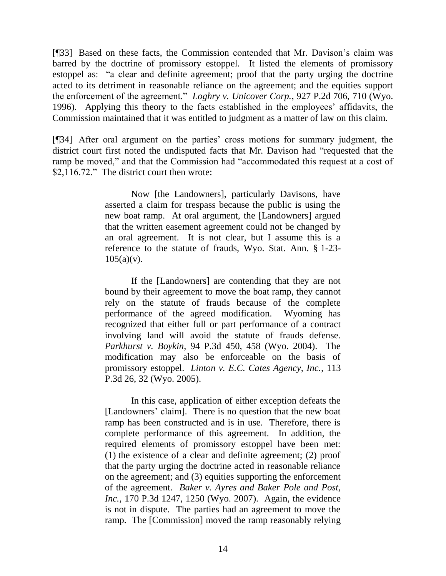[¶33] Based on these facts, the Commission contended that Mr. Davison's claim was barred by the doctrine of promissory estoppel. It listed the elements of promissory estoppel as: "a clear and definite agreement; proof that the party urging the doctrine acted to its detriment in reasonable reliance on the agreement; and the equities support the enforcement of the agreement." *Loghry v. Unicover Corp.*, 927 P.2d 706, 710 (Wyo. 1996). Applying this theory to the facts established in the employees' affidavits, the Commission maintained that it was entitled to judgment as a matter of law on this claim.

[¶34] After oral argument on the parties" cross motions for summary judgment, the district court first noted the undisputed facts that Mr. Davison had "requested that the ramp be moved," and that the Commission had "accommodated this request at a cost of \$2,116.72." The district court then wrote:

> Now [the Landowners], particularly Davisons, have asserted a claim for trespass because the public is using the new boat ramp. At oral argument, the [Landowners] argued that the written easement agreement could not be changed by an oral agreement. It is not clear, but I assume this is a reference to the statute of frauds, Wyo. Stat. Ann. § 1-23-  $105(a)(v)$ .

> If the [Landowners] are contending that they are not bound by their agreement to move the boat ramp, they cannot rely on the statute of frauds because of the complete performance of the agreed modification. Wyoming has recognized that either full or part performance of a contract involving land will avoid the statute of frauds defense. *Parkhurst v. Boykin*, 94 P.3d 450, 458 (Wyo. 2004). The modification may also be enforceable on the basis of promissory estoppel. *Linton v. E.C. Cates Agency, Inc.*, 113 P.3d 26, 32 (Wyo. 2005).

> In this case, application of either exception defeats the [Landowners' claim]. There is no question that the new boat ramp has been constructed and is in use. Therefore, there is complete performance of this agreement. In addition, the required elements of promissory estoppel have been met: (1) the existence of a clear and definite agreement; (2) proof that the party urging the doctrine acted in reasonable reliance on the agreement; and (3) equities supporting the enforcement of the agreement. *Baker v. Ayres and Baker Pole and Post, Inc.*, 170 P.3d 1247, 1250 (Wyo. 2007). Again, the evidence is not in dispute. The parties had an agreement to move the ramp. The [Commission] moved the ramp reasonably relying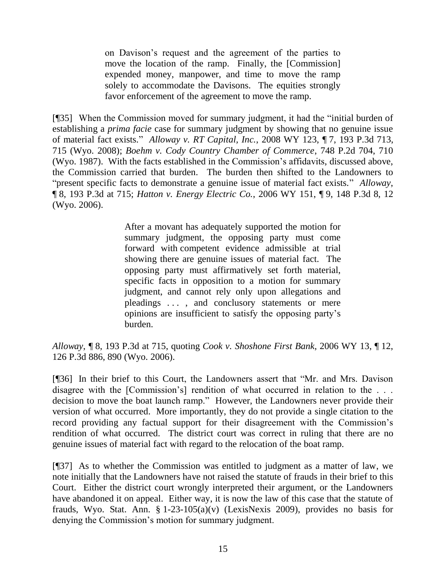on Davison"s request and the agreement of the parties to move the location of the ramp. Finally, the [Commission] expended money, manpower, and time to move the ramp solely to accommodate the Davisons. The equities strongly favor enforcement of the agreement to move the ramp.

[¶35] When the Commission moved for summary judgment, it had the "initial burden of establishing a *prima facie* case for summary judgment by showing that no genuine issue of material fact exists." *Alloway v. RT Capital, Inc.*, 2008 WY 123, ¶ 7, 193 P.3d 713, 715 (Wyo. 2008); *Boehm v. Cody Country Chamber of Commerce*, 748 P.2d 704, 710 (Wyo. 1987). With the facts established in the Commission"s affidavits, discussed above, the Commission carried that burden. The burden then shifted to the Landowners to "present specific facts to demonstrate a genuine issue of material fact exists." *Alloway*, ¶ 8, 193 P.3d at 715; *Hatton v. Energy Electric Co.*, 2006 WY 151, ¶ 9, 148 P.3d 8, 12 (Wyo. 2006).

> After a movant has adequately supported the motion for summary judgment, the opposing party must come forward with competent evidence admissible at trial showing there are genuine issues of material fact. The opposing party must affirmatively set forth material, specific facts in opposition to a motion for summary judgment, and cannot rely only upon allegations and pleadings . . . , and conclusory statements or mere opinions are insufficient to satisfy the opposing party"s burden.

*Alloway*, ¶ 8, 193 P.3d at 715, quoting *Cook v. Shoshone First Bank*, 2006 WY 13, ¶ 12, 126 P.3d 886, 890 (Wyo. 2006).

[¶36] In their brief to this Court, the Landowners assert that "Mr. and Mrs. Davison disagree with the [Commission's] rendition of what occurred in relation to the ... decision to move the boat launch ramp." However, the Landowners never provide their version of what occurred. More importantly, they do not provide a single citation to the record providing any factual support for their disagreement with the Commission's rendition of what occurred. The district court was correct in ruling that there are no genuine issues of material fact with regard to the relocation of the boat ramp.

[¶37] As to whether the Commission was entitled to judgment as a matter of law, we note initially that the Landowners have not raised the statute of frauds in their brief to this Court. Either the district court wrongly interpreted their argument, or the Landowners have abandoned it on appeal. Either way, it is now the law of this case that the statute of frauds, Wyo. Stat. Ann. § 1-23-105(a)(v) (LexisNexis 2009), provides no basis for denying the Commission"s motion for summary judgment.